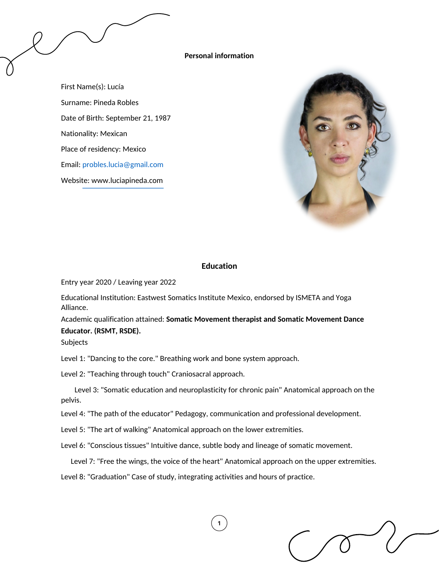### **Personal information**

First Name(s): Lucía Surname: Pineda Robles Date of Birth: September 21, 1987 Nationality: Mexican Place of residency: Mexico Email: [probles.lucia@gmail.com](mailto:probles.lucia@gmail.com) Website: www.luciapineda.com



## **Education**

Entry year 2020 / Leaving year 2022

Educational Institution: Eastwest Somatics Institute Mexico, endorsed by ISMETA and Yoga Alliance.

Academic qualification attained: **Somatic Movement therapist and Somatic Movement Dance Educator. (RSMT, RSDE).**

Subjects

Level 1: "Dancing to the core." Breathing work and bone system approach.

Level 2: "Teaching through touch" Craniosacral approach.

Level 3: "Somatic education and neuroplasticity for chronic pain" Anatomical approach on the pelvis.

Level 4: "The path of the educator" Pedagogy, communication and professional development.

Level 5: "The art of walking" Anatomical approach on the lower extremities.

Level 6: "Conscious tissues" Intuitive dance, subtle body and lineage of somatic movement.

Level 7: "Free the wings, the voice of the heart" Anatomical approach on the upper extremities.

Level 8: "Graduation" Case of study, integrating activities and hours of practice.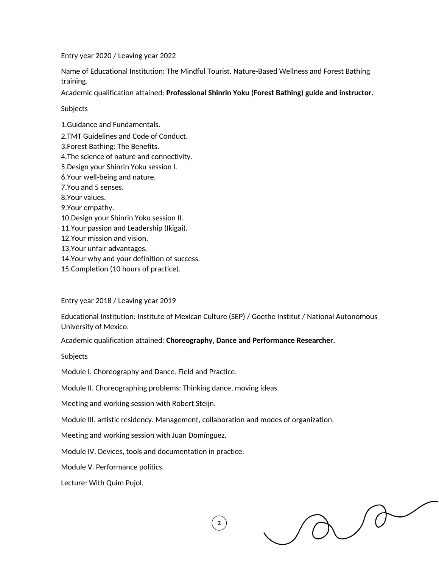Entry year 2020 / Leaving year 2022

Name of Educational Institution: The Mindful Tourist. Nature-Based Wellness and Forest Bathing training.

Academic qualification attained: **Professional Shinrin Yoku (Forest Bathing) guide and instructor.**

Subjects

1.Guidance and Fundamentals.

2.TMT Guidelines and Code of Conduct.

3.Forest Bathing: The Benefits.

4.The science of nature and connectivity.

5.Design your Shinrin Yoku session l.

6.Your well-being and nature.

7.You and 5 senses.

8.Your values.

9.Your empathy.

10.Design your Shinrin Yoku session II.

11.Your passion and Leadership (Ikigai).

12.Your mission and vision.

13.Your unfair advantages.

14.Your why and your definition of success.

15.Completion (10 hours of practice).

Entry year 2018 / Leaving year 2019

Educational Institution: Institute of Mexican Culture (SEP) / Goethe Institut / National Autonomous University of Mexico.

 $\overline{2}$ 

Academic qualification attained: **Choreography, Dance and Performance Researcher.**

Subjects

Module I. Choreography and Dance. Field and Practice.

Module II. Choreographing problems: Thinking dance, moving ideas.

Meeting and working session with Robert Steijn.

Module III. artistic residency. Management, collaboration and modes of organization.

Meeting and working session with Juan Domínguez.

Module IV. Devices, tools and documentation in practice.

Module V. Performance politics.

Lecture: With Quim Pujol.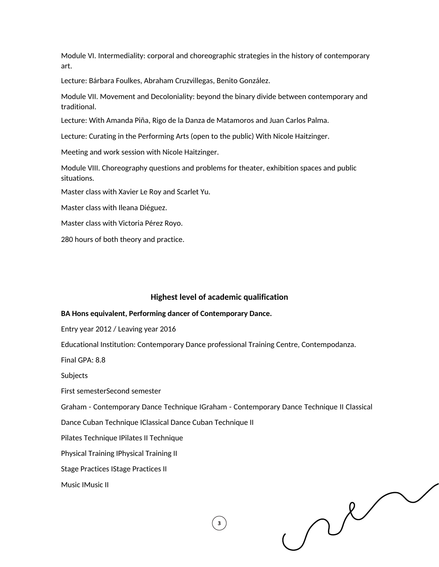Module VI. Intermediality: corporal and choreographic strategies in the history of contemporary art.

Lecture: Bárbara Foulkes, Abraham Cruzvillegas, Benito González.

Module VII. Movement and Decoloniality: beyond the binary divide between contemporary and traditional.

Lecture: With Amanda Piña, Rigo de la Danza de Matamoros and Juan Carlos Palma.

Lecture: Curating in the Performing Arts (open to the public) With Nicole Haitzinger.

Meeting and work session with Nicole Haitzinger.

Module VIII. Choreography questions and problems for theater, exhibition spaces and public situations.

Master class with Xavier Le Roy and Scarlet Yu.

Master class with Ileana Diéguez.

Master class with Victoria Pérez Royo.

280 hours of both theory and practice.

#### **Highest level of academic qualification**

#### **BA Hons equivalent, Performing dancer of Contemporary Dance.**

Entry year 2012 / Leaving year 2016

Educational Institution: Contemporary Dance professional Training Centre, Contempodanza.

Final GPA: 8.8

**Subjects** 

First semesterSecond semester

Graham - Contemporary Dance Technique IGraham - Contemporary Dance Technique II Classical

 $\overline{\mathbf{3}}$ 

Dance Cuban Technique IClassical Dance Cuban Technique II

Pilates Technique IPilates II Technique

Physical Training IPhysical Training II

Stage Practices IStage Practices II

Music IMusic II

 $\mathcal{N}$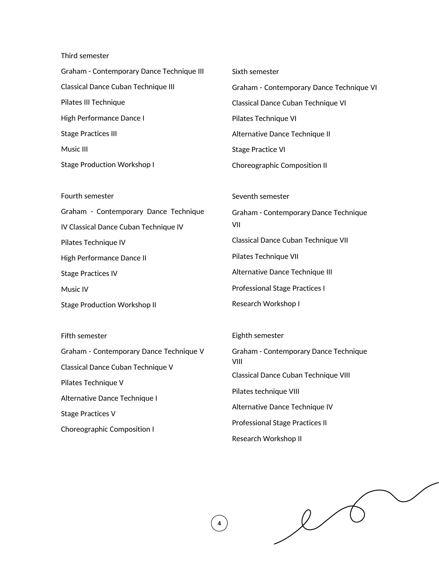Third semester

| Graham - Contemporary Dance Technique III | Sixth semester                           |
|-------------------------------------------|------------------------------------------|
| Classical Dance Cuban Technique III       | Graham - Contemporary Dance Technique VI |
| Pilates III Technique                     | Classical Dance Cuban Technique VI       |
| High Performance Dance I                  | Pilates Technique VI                     |
| <b>Stage Practices III</b>                | Alternative Dance Technique II           |
| Music III                                 | Stage Practice VI                        |
| Stage Production Workshop I               | Choreographic Composition II             |
|                                           |                                          |

Fourth semester Graham - Contemporary Dance Technique IV Classical Dance Cuban Technique IV Pilates Technique IV High Performance Dance II Stage Practices IV Music IV Stage Production Workshop II

Fifth semester Graham - Contemporary Dance Technique V Classical Dance Cuban Technique V Pilates Technique V Alternative Dance Technique I Stage Practices V Choreographic Composition I

Seventh semester Graham - Contemporary Dance Technique VII Classical Dance Cuban Technique VII Pilates Technique VII Alternative Dance Technique III Professional Stage Practices I Research Workshop I

Eighth semester

Graham - Contemporary Dance Technique VIII Classical Dance Cuban Technique VIII Pilates technique VIII Alternative Dance Technique IV Professional Stage Practices II Research Workshop II

 $\overline{\mathcal{L}}$